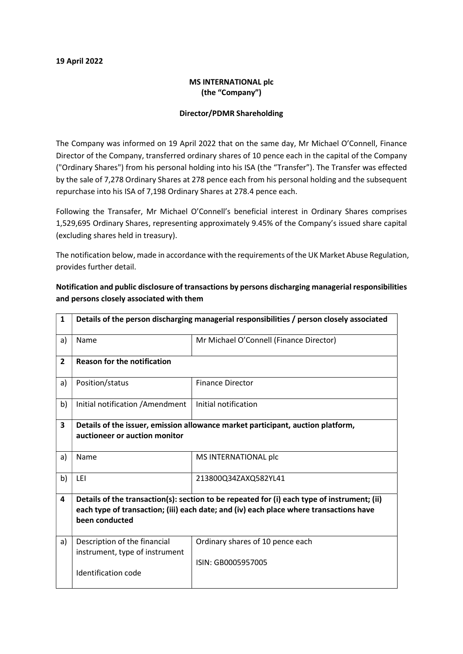## 19 April 2022

## MS INTERNATIONAL plc (the "Company")

## Director/PDMR Shareholding

The Company was informed on 19 April 2022 that on the same day, Mr Michael O'Connell, Finance Director of the Company, transferred ordinary shares of 10 pence each in the capital of the Company ("Ordinary Shares") from his personal holding into his ISA (the "Transfer"). The Transfer was effected by the sale of 7,278 Ordinary Shares at 278 pence each from his personal holding and the subsequent repurchase into his ISA of 7,198 Ordinary Shares at 278.4 pence each.

Following the Transafer, Mr Michael O'Connell's beneficial interest in Ordinary Shares comprises 1,529,695 Ordinary Shares, representing approximately 9.45% of the Company's issued share capital (excluding shares held in treasury).

The notification below, made in accordance with the requirements of the UK Market Abuse Regulation, provides further detail.

| $\mathbf{1}$   | Details of the person discharging managerial responsibilities / person closely associated                                                                                                               |                                                        |  |  |  |
|----------------|---------------------------------------------------------------------------------------------------------------------------------------------------------------------------------------------------------|--------------------------------------------------------|--|--|--|
| a)             | Name                                                                                                                                                                                                    | Mr Michael O'Connell (Finance Director)                |  |  |  |
| $\overline{2}$ | <b>Reason for the notification</b>                                                                                                                                                                      |                                                        |  |  |  |
| a)             | Position/status                                                                                                                                                                                         | <b>Finance Director</b>                                |  |  |  |
| b)             | Initial notification / Amendment                                                                                                                                                                        | Initial notification                                   |  |  |  |
| 3              | Details of the issuer, emission allowance market participant, auction platform,<br>auctioneer or auction monitor                                                                                        |                                                        |  |  |  |
| a)             | Name                                                                                                                                                                                                    | MS INTERNATIONAL plc                                   |  |  |  |
| b)             | LEI                                                                                                                                                                                                     | 213800Q34ZAXQ582YL41                                   |  |  |  |
| 4              | Details of the transaction(s): section to be repeated for (i) each type of instrument; (ii)<br>each type of transaction; (iii) each date; and (iv) each place where transactions have<br>been conducted |                                                        |  |  |  |
| a)             | Description of the financial<br>instrument, type of instrument<br>Identification code                                                                                                                   | Ordinary shares of 10 pence each<br>ISIN: GB0005957005 |  |  |  |

Notification and public disclosure of transactions by persons discharging managerial responsibilities and persons closely associated with them